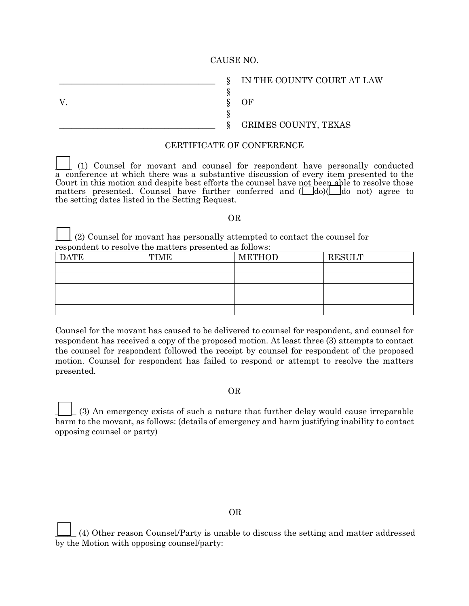## CAUSE NO.

§ V. Some Specific Specific Specific Specific Specific Specific Specific Specific Specific Specific Specific Specific Specific Specific Specific Specific Specific Specific Specific Specific Specific Specific Specific Specifi §

 $\S$  IN THE COUNTY COURT AT LAW

\_\_\_\_\_\_\_\_\_\_\_\_\_\_\_\_\_\_\_\_\_\_\_\_\_\_\_\_\_\_\_\_\_\_\_\_\_ § GRIMES COUNTY, TEXAS

## CERTIFICATE OF CONFERENCE

\_\_\_\_ (1) Counsel for movant and counsel for respondent have personally conducted a conference at which there was a substantive discussion of every item presented to the Court in this motion and despite best efforts the counsel have not been able to resolve those matters presented. Counsel have further conferred and ( $\Box$ do)( $\Box$ do not) agree to the setting dates listed in the Setting Request.

## OR

\_\_\_\_ (2) Counsel for movant has personally attempted to contact the counsel for respondent to resolve the matters presented as follows:

| <b>DATE</b> | <b>TIME</b> | <b>METHOD</b> | <b>RESULT</b> |
|-------------|-------------|---------------|---------------|
|             |             |               |               |
|             |             |               |               |
|             |             |               |               |
|             |             |               |               |
|             |             |               |               |

Counsel for the movant has caused to be delivered to counsel for respondent, and counsel for respondent has received a copy of the proposed motion. At least three (3) attempts to contact the counsel for respondent followed the receipt by counsel for respondent of the proposed motion. Counsel for respondent has failed to respond or attempt to resolve the matters presented.

## OR

\_\_\_\_\_ (3) An emergency exists of such a nature that further delay would cause irreparable harm to the movant, as follows: (details of emergency and harm justifying inability to contact opposing counsel or party)

\_\_\_\_\_ (4) Other reason Counsel/Party is unable to discuss the setting and matter addressed by the Motion with opposing counsel/party: